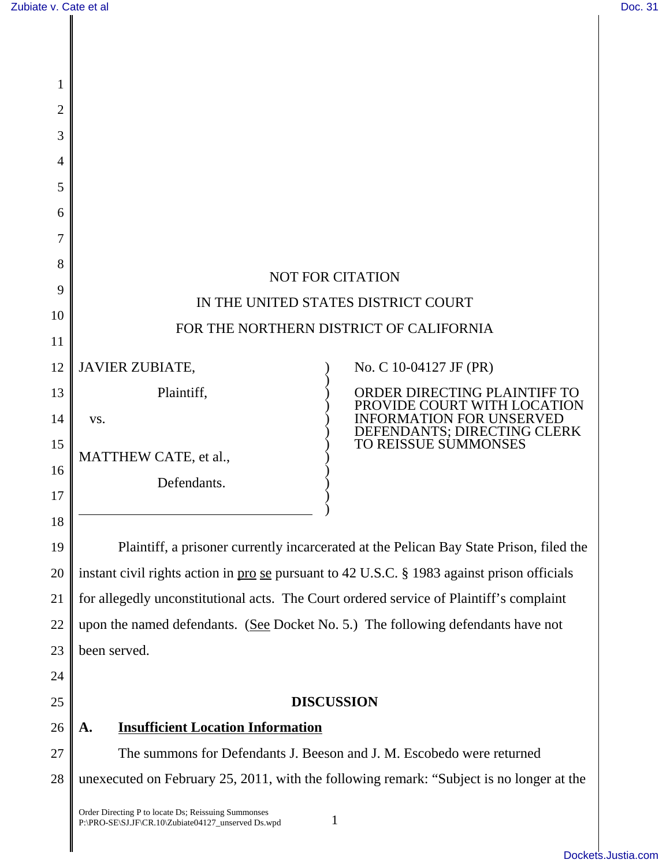| 1        |                                                                                                           |                                                                                         |
|----------|-----------------------------------------------------------------------------------------------------------|-----------------------------------------------------------------------------------------|
| 2        |                                                                                                           |                                                                                         |
| 3        |                                                                                                           |                                                                                         |
| 4        |                                                                                                           |                                                                                         |
| 5        |                                                                                                           |                                                                                         |
| 6        |                                                                                                           |                                                                                         |
| 7        |                                                                                                           |                                                                                         |
| 8        |                                                                                                           | <b>NOT FOR CITATION</b>                                                                 |
| 9        | IN THE UNITED STATES DISTRICT COURT                                                                       |                                                                                         |
| 10       | FOR THE NORTHERN DISTRICT OF CALIFORNIA                                                                   |                                                                                         |
| 11       |                                                                                                           |                                                                                         |
| 12       | <b>JAVIER ZUBIATE,</b>                                                                                    | No. C 10-04127 JF (PR)                                                                  |
| 13       | Plaintiff,                                                                                                | ORDER DIRECTING PLAINTIFF TO<br>PROVIDE COURT WITH LO                                   |
| 14       | VS.                                                                                                       | INFORMATION FOR UNSERVED<br>DEFENDANTS; DIRECTING CLERK                                 |
| 15       | MATTHEW CATE, et al.,                                                                                     | TO REISSUE SUMMONSES                                                                    |
| 16       | Defendants.                                                                                               |                                                                                         |
| 17       |                                                                                                           |                                                                                         |
| 18<br>19 |                                                                                                           | Plaintiff, a prisoner currently incarcerated at the Pelican Bay State Prison, filed the |
| 20       | instant civil rights action in pro se pursuant to 42 U.S.C. § 1983 against prison officials               |                                                                                         |
| 21       | for allegedly unconstitutional acts. The Court ordered service of Plaintiff's complaint                   |                                                                                         |
| 22       | upon the named defendants. (See Docket No. 5.) The following defendants have not                          |                                                                                         |
| 23       | been served.                                                                                              |                                                                                         |
| 24       |                                                                                                           |                                                                                         |
| 25       |                                                                                                           | <b>DISCUSSION</b>                                                                       |
| 26       | <b>Insufficient Location Information</b><br>A.                                                            |                                                                                         |
| 27       | The summons for Defendants J. Beeson and J. M. Escobedo were returned                                     |                                                                                         |
| 28       | unexecuted on February 25, 2011, with the following remark: "Subject is no longer at the                  |                                                                                         |
|          | Order Directing P to locate Ds; Reissuing Summonses<br>P:\PRO-SE\SJ.JF\CR.10\Zubiate04127_unserved Ds.wpd | 1                                                                                       |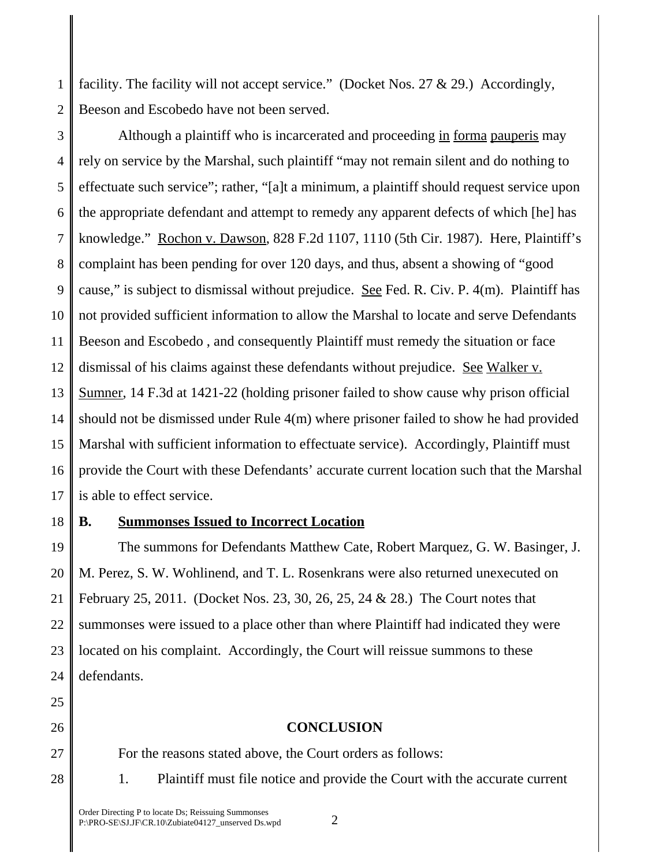1 2 facility. The facility will not accept service." (Docket Nos. 27 & 29.) Accordingly, Beeson and Escobedo have not been served.

3 4 5 6 7 8 9 10 11 12 13 14 15 16 17 Although a plaintiff who is incarcerated and proceeding in forma pauperis may rely on service by the Marshal, such plaintiff "may not remain silent and do nothing to effectuate such service"; rather, "[a]t a minimum, a plaintiff should request service upon the appropriate defendant and attempt to remedy any apparent defects of which [he] has knowledge." Rochon v. Dawson, 828 F.2d 1107, 1110 (5th Cir. 1987). Here, Plaintiff's complaint has been pending for over 120 days, and thus, absent a showing of "good cause," is subject to dismissal without prejudice. See Fed. R. Civ. P. 4(m). Plaintiff has not provided sufficient information to allow the Marshal to locate and serve Defendants Beeson and Escobedo , and consequently Plaintiff must remedy the situation or face dismissal of his claims against these defendants without prejudice. See Walker v. Sumner, 14 F.3d at 1421-22 (holding prisoner failed to show cause why prison official should not be dismissed under Rule 4(m) where prisoner failed to show he had provided Marshal with sufficient information to effectuate service). Accordingly, Plaintiff must provide the Court with these Defendants' accurate current location such that the Marshal is able to effect service.

# 18

# **B. Summonses Issued to Incorrect Location**

19 20 21 22 23 24 The summons for Defendants Matthew Cate, Robert Marquez, G. W. Basinger, J. M. Perez, S. W. Wohlinend, and T. L. Rosenkrans were also returned unexecuted on February 25, 2011. (Docket Nos. 23, 30, 26, 25, 24 & 28.) The Court notes that summonses were issued to a place other than where Plaintiff had indicated they were located on his complaint. Accordingly, the Court will reissue summons to these defendants.

- 25
- 26

27

28

For the reasons stated above, the Court orders as follows:

1. Plaintiff must file notice and provide the Court with the accurate current

**CONCLUSION**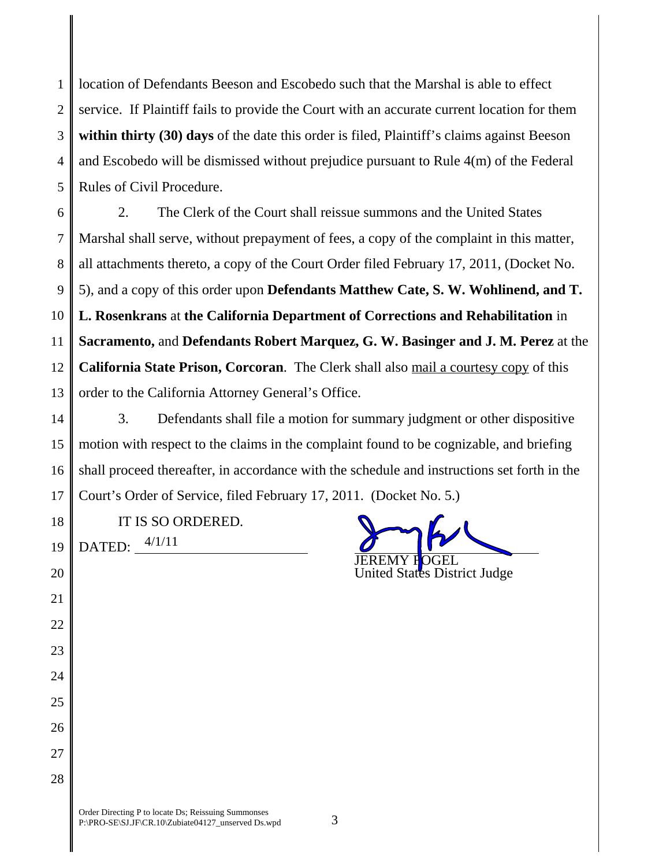1 2 3 4 5 location of Defendants Beeson and Escobedo such that the Marshal is able to effect service. If Plaintiff fails to provide the Court with an accurate current location for them within thirty (30) days of the date this order is filed, Plaintiff's claims against Beeson and Escobedo will be dismissed without prejudice pursuant to Rule 4(m) of the Federal Rules of Civil Procedure.

6 7 8 9 10 11 12 13 2. The Clerk of the Court shall reissue summons and the United States Marshal shall serve, without prepayment of fees, a copy of the complaint in this matter, all attachments thereto, a copy of the Court Order filed February 17, 2011, (Docket No. 5), and a copy of this order upon **Defendants Matthew Cate, S. W. Wohlinend, and T. L. Rosenkrans** at **the California Department of Corrections and Rehabilitation** in **Sacramento,** and **Defendants Robert Marquez, G. W. Basinger and J. M. Perez** at the **California State Prison, Corcoran**.The Clerk shall also mail a courtesy copy of this order to the California Attorney General's Office.

14 15 16 17 3. Defendants shall file a motion for summary judgment or other dispositive motion with respect to the claims in the complaint found to be cognizable, and briefing shall proceed thereafter, in accordance with the schedule and instructions set forth in the Court's Order of Service, filed February 17, 2011. (Docket No. 5.)

18 IT IS SO ORDERED.

19

20

21

22

23

24

25

26

27

28

 $\mathcal{D}$ ATED:  $\frac{4/1/11}{4/111}$   $\frac{1}{\sqrt{100}}$   $\frac{1}{\sqrt{100}}$   $\frac{1}{\sqrt{100}}$   $\frac{1}{\sqrt{100}}$   $\frac{1}{\sqrt{100}}$   $\frac{1}{\sqrt{100}}$   $\frac{1}{\sqrt{100}}$   $\frac{1}{\sqrt{100}}$   $\frac{1}{\sqrt{100}}$   $\frac{1}{\sqrt{100}}$   $\frac{1}{\sqrt{100}}$   $\frac{1}{\sqrt{100}}$   $\frac{1}{\sqrt$ 

United States District Judge